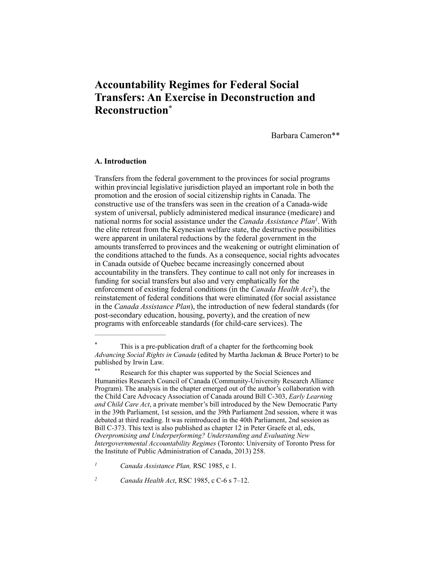# **Accountability Regimes for Federal Social Transfers: An Exercise in Deconstruction and Reconstruction\***

Barbara Cameron\*\*

### **A. Introduction**

Transfers from the federal government to the provinces for social programs within provincial legislative jurisdiction played an important role in both the promotion and the erosion of social citizenship rights in Canada. The constructive use of the transfers was seen in the creation of a Canada-wide system of universal, publicly administered medical insurance (medicare) and national norms for social assistance under the *Canada Assistance Plan<sup>1</sup>*. With the elite retreat from the Keynesian welfare state, the destructive possibilities were apparent in unilateral reductions by the federal government in the amounts transferred to provinces and the weakening or outright elimination of the conditions attached to the funds. As a consequence, social rights advocates in Canada outside of Quebec became increasingly concerned about accountability in the transfers. They continue to call not only for increases in funding for social transfers but also and very emphatically for the enforcement of existing federal conditions (in the *Canada Health Act<sup>2</sup>*), the reinstatement of federal conditions that were eliminated (for social assistance in the *Canada Assistance Plan*), the introduction of new federal standards (for post-secondary education, housing, poverty), and the creation of new programs with enforceable standards (for child-care services). The

 *Canada Health Act*, RSC 1985, c C-6 s 7–12. *<sup>2</sup>*

This is a pre-publication draft of a chapter for the forthcoming book **\*** *Advancing Social Rights in Canada* (edited by Martha Jackman & Bruce Porter) to be published by Irwin Law.

Research for this chapter was supported by the Social Sciences and **\*\*** Humanities Research Council of Canada (Community-University Research Alliance Program). The analysis in the chapter emerged out of the author's collaboration with the Child Care Advocacy Association of Canada around Bill C-303, *Early Learning and Child Care Act*, a private member's bill introduced by the New Democratic Party in the 39th Parliament, 1st session, and the 39th Parliament 2nd session, where it was debated at third reading. It was reintroduced in the 40th Parliament, 2nd session as Bill C-373. This text is also published as chapter 12 in Peter Graefe et al, eds, *Overpromising and Underperforming? Understanding and Evaluating New Intergovernmental Accountability Regimes* (Toronto: University of Toronto Press for the Institute of Public Administration of Canada, 2013) 258.

*Canada Assistance Plan,* RSC 1985, c 1. *<sup>1</sup>*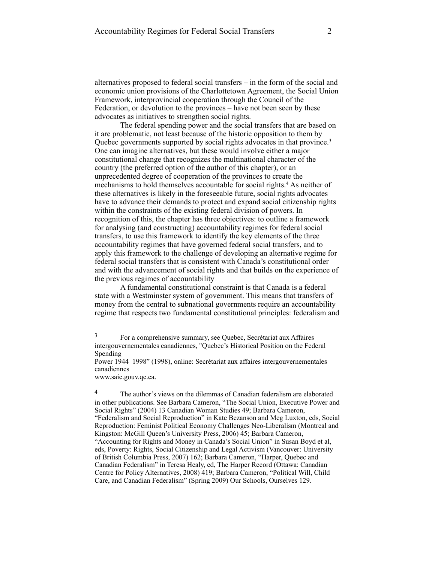alternatives proposed to federal social transfers – in the form of the social and economic union provisions of the Charlottetown Agreement, the Social Union Framework, interprovincial cooperation through the Council of the Federation, or devolution to the provinces – have not been seen by these advocates as initiatives to strengthen social rights.

The federal spending power and the social transfers that are based on it are problematic, not least because of the historic opposition to them by Quebec governments supported by social rights advocates in that province.<sup>3</sup> One can imagine alternatives, but these would involve either a major constitutional change that recognizes the multinational character of the country (the preferred option of the author of this chapter), or an unprecedented degree of cooperation of the provinces to create the mechanisms to hold themselves accountable for social rights.<sup>4</sup> As neither of these alternatives is likely in the foreseeable future, social rights advocates have to advance their demands to protect and expand social citizenship rights within the constraints of the existing federal division of powers. In recognition of this, the chapter has three objectives: to outline a framework for analysing (and constructing) accountability regimes for federal social transfers, to use this framework to identify the key elements of the three accountability regimes that have governed federal social transfers, and to apply this framework to the challenge of developing an alternative regime for federal social transfers that is consistent with Canada's constitutional order and with the advancement of social rights and that builds on the experience of the previous regimes of accountability

A fundamental constitutional constraint is that Canada is a federal state with a Westminster system of government. This means that transfers of money from the central to subnational governments require an accountability regime that respects two fundamental constitutional principles: federalism and

www.saic.gouv.qc.ca.

<sup>&</sup>lt;sup>3</sup> For a comprehensive summary, see Quebec, Secrétariat aux Affaires intergouvernementales canadiennes, "Quebec's Historical Position on the Federal Spending

Power 1944–1998" (1998), online: Secrétariat aux affaires intergouvernementales canadiennes

<sup>&</sup>lt;sup>4</sup> The author's views on the dilemmas of Canadian federalism are elaborated in other publications. See Barbara Cameron, "The Social Union, Executive Power and Social Rights" (2004) 13 Canadian Woman Studies 49; Barbara Cameron, "Federalism and Social Reproduction" in Kate Bezanson and Meg Luxton, eds, Social Reproduction: Feminist Political Economy Challenges Neo-Liberalism (Montreal and Kingston: McGill Queen's University Press, 2006) 45; Barbara Cameron, "Accounting for Rights and Money in Canada's Social Union" in Susan Boyd et al, eds, Poverty: Rights, Social Citizenship and Legal Activism (Vancouver: University of British Columbia Press, 2007) 162; Barbara Cameron, "Harper, Quebec and Canadian Federalism" in Teresa Healy, ed, The Harper Record (Ottawa: Canadian Centre for Policy Alternatives, 2008) 419; Barbara Cameron, "Political Will, Child Care, and Canadian Federalism" (Spring 2009) Our Schools, Ourselves 129.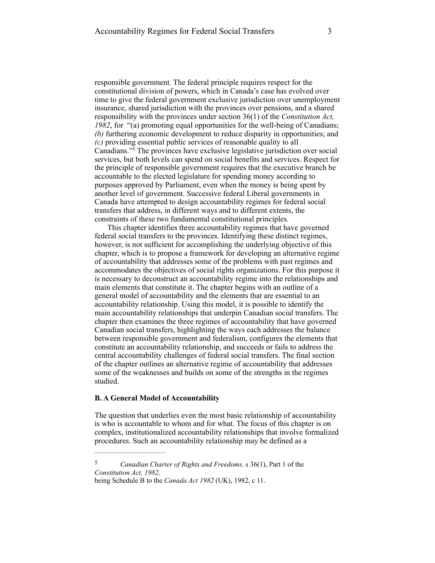responsible government. The federal principle requires respect for the constitutional division of powers, which in Canada's case has evolved over time to give the federal government exclusive jurisdiction over unemployment insurance, shared jurisdiction with the provinces over pensions, and a shared responsibility with the provinces under section 36(1) of the *Constitution Act, 1982*, for "(a) promoting equal opportunities for the well-being of Canadians; *(b)* furthering economic development to reduce disparity in opportunities; and *(c)* providing essential public services of reasonable quality to all Canadians."<sup>5</sup> The provinces have exclusive legislative jurisdiction over social services, but both levels can spend on social benefits and services. Respect for the principle of responsible government requires that the executive branch be accountable to the elected legislature for spending money according to purposes approved by Parliament, even when the money is being spent by another level of government. Successive federal Liberal governments in Canada have attempted to design accountability regimes for federal social transfers that address, in different ways and to different extents, the constraints of these two fundamental constitutional principles.

This chapter identifies three accountability regimes that have governed federal social transfers to the provinces. Identifying these distinct regimes, however, is not sufficient for accomplishing the underlying objective of this chapter, which is to propose a framework for developing an alternative regime of accountability that addresses some of the problems with past regimes and accommodates the objectives of social rights organizations. For this purpose it is necessary to deconstruct an accountability regime into the relationships and main elements that constitute it. The chapter begins with an outline of a general model of accountability and the elements that are essential to an accountability relationship. Using this model, it is possible to identify the main accountability relationships that underpin Canadian social transfers. The chapter then examines the three regimes of accountability that have governed Canadian social transfers, highlighting the ways each addresses the balance between responsible government and federalism, configures the elements that constitute an accountability relationship, and succeeds or fails to address the central accountability challenges of federal social transfers. The final section of the chapter outlines an alternative regime of accountability that addresses some of the weaknesses and builds on some of the strengths in the regimes studied.

# **B. A General Model of Accountability**

The question that underlies even the most basic relationship of accountability is who is accountable to whom and for what. The focus of this chapter is on complex, institutionalized accountability relationships that involve formalized procedures. Such an accountability relationship may be defined as a

<sup>&</sup>lt;sup>5</sup> *Canadian Charter of Rights and Freedoms, s* 36(1), Part 1 of the *Constitution Act, 1982,* 

being Schedule B to the *Canada Act 1982* (UK), 1982, c 11.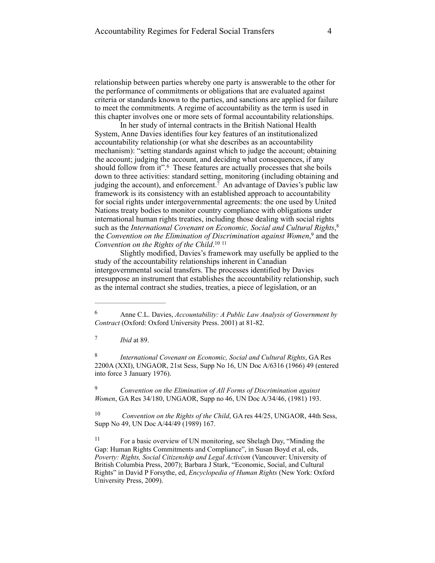relationship between parties whereby one party is answerable to the other for the performance of commitments or obligations that are evaluated against criteria or standards known to the parties, and sanctions are applied for failure to meet the commitments. A regime of accountability as the term is used in this chapter involves one or more sets of formal accountability relationships.

In her study of internal contracts in the British National Health System, Anne Davies identifies four key features of an institutionalized accountability relationship (or what she describes as an accountability mechanism): "setting standards against which to judge the account; obtaining the account; judging the account, and deciding what consequences, if any should follow from it".<sup>6</sup> These features are actually processes that she boils down to three activities: standard setting, monitoring (including obtaining and judging the account), and enforcement.<sup>7</sup> An advantage of Davies's public law framework is its consistency with an established approach to accountability for social rights under intergovernmental agreements: the one used by United Nations treaty bodies to monitor country compliance with obligations under international human rights treaties, including those dealing with social rights such as the *International Covenant on Economic, Social and Cultural Rights*, 8 the *Convention on the Elimination of Discrimination against Women*,<sup>9</sup> and the *Convention on the Rights of the Child*. 10 11

Slightly modified, Davies's framework may usefully be applied to the study of the accountability relationships inherent in Canadian intergovernmental social transfers. The processes identified by Davies presuppose an instrument that establishes the accountability relationship, such as the internal contract she studies, treaties, a piece of legislation, or an

*Ibid* at 89. <sup>7</sup>

 *International Covenant on Economic, Social and Cultural Rights*, GA Res 8 2200A (XXI), UNGAOR, 21st Sess, Supp No 16, UN Doc A/6316 (1966) 49 (entered into force 3 January 1976).

 *Convention on the Elimination of All Forms of Discrimination against* <sup>9</sup> *Women*, GA Res 34/180, UNGAOR, Supp no 46, UN Doc A/34/46, (1981) 193.

<sup>10</sup> Convention on the Rights of the Child, GA res 44/25, UNGAOR, 44th Sess, Supp No 49, UN Doc A/44/49 (1989) 167.

 $11$  For a basic overview of UN monitoring, see Shelagh Day, "Minding the Gap: Human Rights Commitments and Compliance", in Susan Boyd et al, eds, *Poverty: Rights, Social Citizenship and Legal Activism* (Vancouver: University of British Columbia Press, 2007); Barbara J Stark, "Economic, Social, and Cultural Rights" in David P Forsythe, ed, *Encyclopedia of Human Rights* (New York: Oxford University Press, 2009).

Anne C.L. Davies, *Accountability: A Public Law Analysis of Government by* <sup>6</sup> *Contract* (Oxford: Oxford University Press. 2001) at 81-82.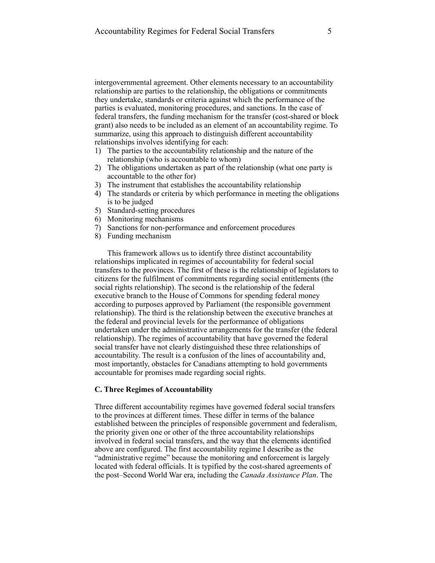intergovernmental agreement. Other elements necessary to an accountability relationship are parties to the relationship, the obligations or commitments they undertake, standards or criteria against which the performance of the parties is evaluated, monitoring procedures, and sanctions. In the case of federal transfers, the funding mechanism for the transfer (cost-shared or block grant) also needs to be included as an element of an accountability regime. To summarize, using this approach to distinguish different accountability relationships involves identifying for each:

- 1) The parties to the accountability relationship and the nature of the relationship (who is accountable to whom)
- 2) The obligations undertaken as part of the relationship (what one party is accountable to the other for)
- 3) The instrument that establishes the accountability relationship
- 4) The standards or criteria by which performance in meeting the obligations is to be judged
- 5) Standard-setting procedures
- 6) Monitoring mechanisms
- 7) Sanctions for non-performance and enforcement procedures
- 8) Funding mechanism

This framework allows us to identify three distinct accountability relationships implicated in regimes of accountability for federal social transfers to the provinces. The first of these is the relationship of legislators to citizens for the fulfilment of commitments regarding social entitlements (the social rights relationship). The second is the relationship of the federal executive branch to the House of Commons for spending federal money according to purposes approved by Parliament (the responsible government relationship). The third is the relationship between the executive branches at the federal and provincial levels for the performance of obligations undertaken under the administrative arrangements for the transfer (the federal relationship). The regimes of accountability that have governed the federal social transfer have not clearly distinguished these three relationships of accountability. The result is a confusion of the lines of accountability and, most importantly, obstacles for Canadians attempting to hold governments accountable for promises made regarding social rights.

#### **C. Three Regimes of Accountability**

Three different accountability regimes have governed federal social transfers to the provinces at different times. These differ in terms of the balance established between the principles of responsible government and federalism, the priority given one or other of the three accountability relationships involved in federal social transfers, and the way that the elements identified above are configured. The first accountability regime I describe as the "administrative regime" because the monitoring and enforcement is largely located with federal officials. It is typified by the cost-shared agreements of the post–Second World War era, including the *Canada Assistance Plan*. The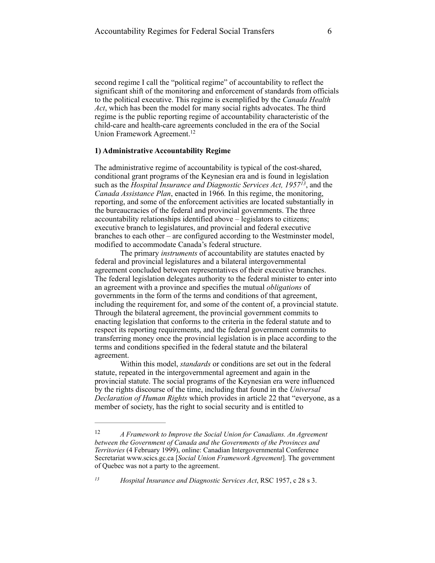second regime I call the "political regime" of accountability to reflect the significant shift of the monitoring and enforcement of standards from officials to the political executive. This regime is exemplified by the *Canada Health Act*, which has been the model for many social rights advocates. The third regime is the public reporting regime of accountability characteristic of the child-care and health-care agreements concluded in the era of the Social Union Framework Agreement. 12

### **1) Administrative Accountability Regime**

The administrative regime of accountability is typical of the cost-shared, conditional grant programs of the Keynesian era and is found in legislation such as the *Hospital Insurance and Diagnostic Services Act, 1957<sup>13</sup>, and the Canada Assistance Plan*, enacted in 1966*.* In this regime, the monitoring, reporting, and some of the enforcement activities are located substantially in the bureaucracies of the federal and provincial governments. The three accountability relationships identified above – legislators to citizens; executive branch to legislatures, and provincial and federal executive branches to each other – are configured according to the Westminster model, modified to accommodate Canada's federal structure.

The primary *instruments* of accountability are statutes enacted by federal and provincial legislatures and a bilateral intergovernmental agreement concluded between representatives of their executive branches. The federal legislation delegates authority to the federal minister to enter into an agreement with a province and specifies the mutual *obligations* of governments in the form of the terms and conditions of that agreement, including the requirement for, and some of the content of, a provincial statute. Through the bilateral agreement, the provincial government commits to enacting legislation that conforms to the criteria in the federal statute and to respect its reporting requirements, and the federal government commits to transferring money once the provincial legislation is in place according to the terms and conditions specified in the federal statute and the bilateral agreement.

Within this model, *standards* or conditions are set out in the federal statute, repeated in the intergovernmental agreement and again in the provincial statute. The social programs of the Keynesian era were influenced by the rights discourse of the time, including that found in the *Universal Declaration of Human Rights* which provides in article 22 that "everyone, as a member of society, has the right to social security and is entitled to

 *Hospital Insurance and Diagnostic Services Act*, RSC 1957, c 28 s 3. *<sup>13</sup>*

*A Framework to Improve the Social Union for Canadians. An Agreement* <sup>12</sup> *between the Government of Canada and the Governments of the Provinces and Territories* (4 February 1999), online: Canadian Intergovernmental Conference Secretariat www.scics.gc.ca [*Social Union Framework Agreement*]. The government of Quebec was not a party to the agreement.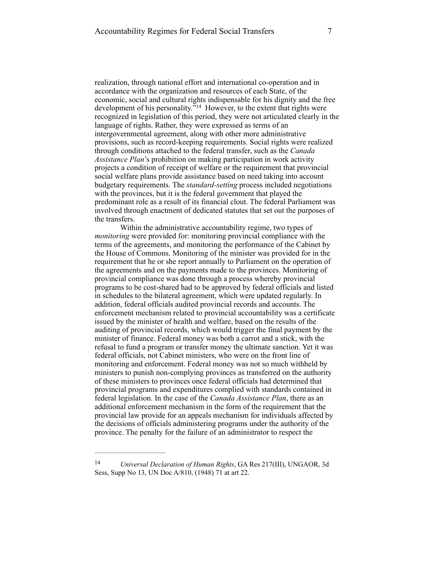realization, through national effort and international co-operation and in accordance with the organization and resources of each State, of the economic, social and cultural rights indispensable for his dignity and the free development of his personality."<sup>14</sup> However, to the extent that rights were recognized in legislation of this period, they were not articulated clearly in the language of rights. Rather, they were expressed as terms of an intergovernmental agreement, along with other more administrative provisions, such as record-keeping requirements. Social rights were realized through conditions attached to the federal transfer, such as the *Canada Assistance Plan*'s prohibition on making participation in work activity projects a condition of receipt of welfare or the requirement that provincial social welfare plans provide assistance based on need taking into account budgetary requirements. The *standard-setting* process included negotiations with the provinces, but it is the federal government that played the predominant role as a result of its financial clout. The federal Parliament was involved through enactment of dedicated statutes that set out the purposes of the transfers.

Within the administrative accountability regime, two types of *monitoring* were provided for: monitoring provincial compliance with the terms of the agreements, and monitoring the performance of the Cabinet by the House of Commons. Monitoring of the minister was provided for in the requirement that he or she report annually to Parliament on the operation of the agreements and on the payments made to the provinces. Monitoring of provincial compliance was done through a process whereby provincial programs to be cost-shared had to be approved by federal officials and listed in schedules to the bilateral agreement, which were updated regularly. In addition, federal officials audited provincial records and accounts. The enforcement mechanism related to provincial accountability was a certificate issued by the minister of health and welfare, based on the results of the auditing of provincial records, which would trigger the final payment by the minister of finance. Federal money was both a carrot and a stick, with the refusal to fund a program or transfer money the ultimate sanction. Yet it was federal officials, not Cabinet ministers, who were on the front line of monitoring and enforcement. Federal money was not so much withheld by ministers to punish non-complying provinces as transferred on the authority of these ministers to provinces once federal officials had determined that provincial programs and expenditures complied with standards contained in federal legislation. In the case of the *Canada Assistance Plan*, there as an additional enforcement mechanism in the form of the requirement that the provincial law provide for an appeals mechanism for individuals affected by the decisions of officials administering programs under the authority of the province. The penalty for the failure of an administrator to respect the

*Universal Declaration of Human Rights*, GA Res 217(III), UNGAOR, 3d 14 Sess, Supp No 13, UN Doc A/810, (1948) 71 at art 22.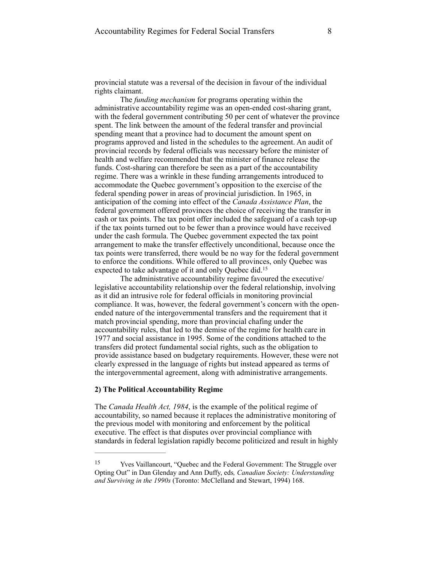provincial statute was a reversal of the decision in favour of the individual rights claimant.

The *funding mechanism* for programs operating within the administrative accountability regime was an open-ended cost-sharing grant, with the federal government contributing 50 per cent of whatever the province spent. The link between the amount of the federal transfer and provincial spending meant that a province had to document the amount spent on programs approved and listed in the schedules to the agreement. An audit of provincial records by federal officials was necessary before the minister of health and welfare recommended that the minister of finance release the funds. Cost-sharing can therefore be seen as a part of the accountability regime. There was a wrinkle in these funding arrangements introduced to accommodate the Quebec government's opposition to the exercise of the federal spending power in areas of provincial jurisdiction. In 1965, in anticipation of the coming into effect of the *Canada Assistance Plan*, the federal government offered provinces the choice of receiving the transfer in cash or tax points. The tax point offer included the safeguard of a cash top-up if the tax points turned out to be fewer than a province would have received under the cash formula. The Quebec government expected the tax point arrangement to make the transfer effectively unconditional, because once the tax points were transferred, there would be no way for the federal government to enforce the conditions. While offered to all provinces, only Quebec was expected to take advantage of it and only Quebec did.15

The administrative accountability regime favoured the executive/ legislative accountability relationship over the federal relationship, involving as it did an intrusive role for federal officials in monitoring provincial compliance. It was, however, the federal government's concern with the openended nature of the intergovernmental transfers and the requirement that it match provincial spending, more than provincial chafing under the accountability rules, that led to the demise of the regime for health care in 1977 and social assistance in 1995. Some of the conditions attached to the transfers did protect fundamental social rights, such as the obligation to provide assistance based on budgetary requirements. However, these were not clearly expressed in the language of rights but instead appeared as terms of the intergovernmental agreement, along with administrative arrangements.

## **2) The Political Accountability Regime**

The *Canada Health Act, 1984*, is the example of the political regime of accountability, so named because it replaces the administrative monitoring of the previous model with monitoring and enforcement by the political executive. The effect is that disputes over provincial compliance with standards in federal legislation rapidly become politicized and result in highly

<sup>&</sup>lt;sup>15</sup> Yves Vaillancourt, "Quebec and the Federal Government: The Struggle over Opting Out" in Dan Glenday and Ann Duffy, eds*, Canadian Society: Understanding and Surviving in the 1990s* (Toronto: McClelland and Stewart, 1994) 168.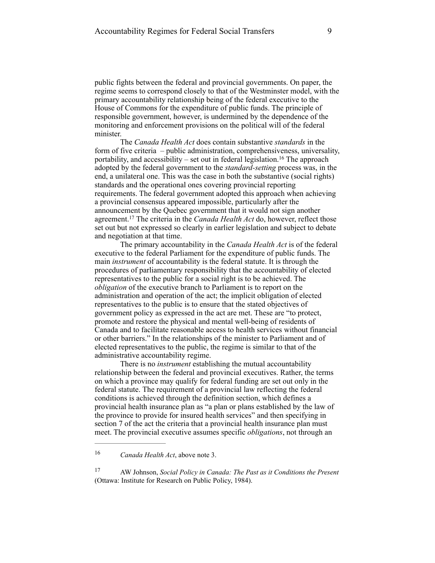public fights between the federal and provincial governments. On paper, the regime seems to correspond closely to that of the Westminster model, with the primary accountability relationship being of the federal executive to the House of Commons for the expenditure of public funds. The principle of responsible government, however, is undermined by the dependence of the monitoring and enforcement provisions on the political will of the federal minister.

The *Canada Health Act* does contain substantive *standards* in the form of five criteria – public administration, comprehensiveness, universality, portability, and accessibility – set out in federal legislation.<sup>16</sup> The approach adopted by the federal government to the *standard-setting* process was, in the end, a unilateral one. This was the case in both the substantive (social rights) standards and the operational ones covering provincial reporting requirements. The federal government adopted this approach when achieving a provincial consensus appeared impossible, particularly after the announcement by the Quebec government that it would not sign another agreement.<sup>17</sup> The criteria in the *Canada Health Act* do, however, reflect those set out but not expressed so clearly in earlier legislation and subject to debate and negotiation at that time.

The primary accountability in the *Canada Health Act* is of the federal executive to the federal Parliament for the expenditure of public funds. The main *instrument* of accountability is the federal statute. It is through the procedures of parliamentary responsibility that the accountability of elected representatives to the public for a social right is to be achieved. The *obligation* of the executive branch to Parliament is to report on the administration and operation of the act; the implicit obligation of elected representatives to the public is to ensure that the stated objectives of government policy as expressed in the act are met. These are "to protect, promote and restore the physical and mental well-being of residents of Canada and to facilitate reasonable access to health services without financial or other barriers." In the relationships of the minister to Parliament and of elected representatives to the public, the regime is similar to that of the administrative accountability regime.

There is no *instrument* establishing the mutual accountability relationship between the federal and provincial executives. Rather, the terms on which a province may qualify for federal funding are set out only in the federal statute. The requirement of a provincial law reflecting the federal conditions is achieved through the definition section, which defines a provincial health insurance plan as "a plan or plans established by the law of the province to provide for insured health services" and then specifying in section 7 of the act the criteria that a provincial health insurance plan must meet. The provincial executive assumes specific *obligations*, not through an

*Canada Health Act*, above note 3. <sup>16</sup>

 AW Johnson, *Social Policy in Canada: The Past as it Conditions the Present* <sup>17</sup> (Ottawa: Institute for Research on Public Policy, 1984).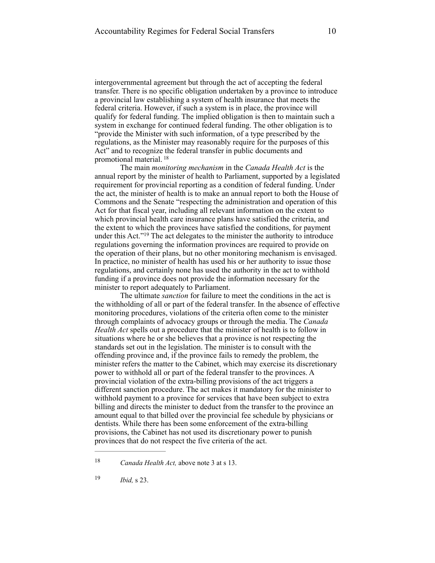intergovernmental agreement but through the act of accepting the federal transfer. There is no specific obligation undertaken by a province to introduce a provincial law establishing a system of health insurance that meets the federal criteria. However, if such a system is in place, the province will qualify for federal funding. The implied obligation is then to maintain such a system in exchange for continued federal funding. The other obligation is to "provide the Minister with such information, of a type prescribed by the regulations, as the Minister may reasonably require for the purposes of this Act" and to recognize the federal transfer in public documents and promotional material. <sup>18</sup>

The main *monitoring mechanism* in the *Canada Health Act* is the annual report by the minister of health to Parliament, supported by a legislated requirement for provincial reporting as a condition of federal funding. Under the act, the minister of health is to make an annual report to both the House of Commons and the Senate "respecting the administration and operation of this Act for that fiscal year, including all relevant information on the extent to which provincial health care insurance plans have satisfied the criteria, and the extent to which the provinces have satisfied the conditions, for payment under this Act." $19$  The act delegates to the minister the authority to introduce regulations governing the information provinces are required to provide on the operation of their plans, but no other monitoring mechanism is envisaged. In practice, no minister of health has used his or her authority to issue those regulations, and certainly none has used the authority in the act to withhold funding if a province does not provide the information necessary for the minister to report adequately to Parliament.

The ultimate *sanction* for failure to meet the conditions in the act is the withholding of all or part of the federal transfer. In the absence of effective monitoring procedures, violations of the criteria often come to the minister through complaints of advocacy groups or through the media. The *Canada Health Act* spells out a procedure that the minister of health is to follow in situations where he or she believes that a province is not respecting the standards set out in the legislation. The minister is to consult with the offending province and, if the province fails to remedy the problem, the minister refers the matter to the Cabinet, which may exercise its discretionary power to withhold all or part of the federal transfer to the provinces. A provincial violation of the extra-billing provisions of the act triggers a different sanction procedure. The act makes it mandatory for the minister to withhold payment to a province for services that have been subject to extra billing and directs the minister to deduct from the transfer to the province an amount equal to that billed over the provincial fee schedule by physicians or dentists. While there has been some enforcement of the extra-billing provisions, the Cabinet has not used its discretionary power to punish provinces that do not respect the five criteria of the act.

19 *Ibid, s* 23.

<sup>&</sup>lt;sup>18</sup> *Canada Health Act, above note 3 at s 13.*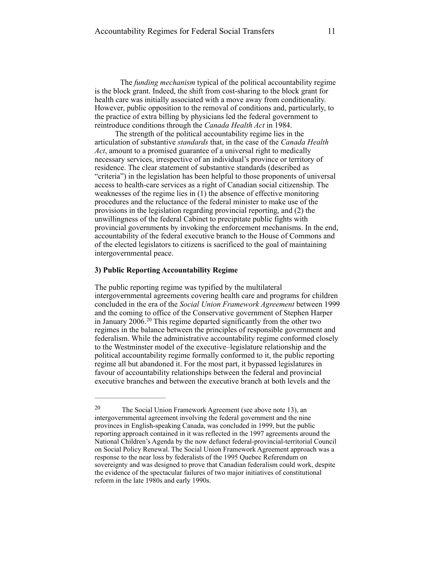The *funding mechanism* typical of the political accountability regime is the block grant. Indeed, the shift from cost-sharing to the block grant for health care was initially associated with a move away from conditionality. However, public opposition to the removal of conditions and, particularly, to the practice of extra billing by physicians led the federal government to reintroduce conditions through the *Canada Health Act* in 1984.

The strength of the political accountability regime lies in the articulation of substantive *standards* that, in the case of the *Canada Health Act*, amount to a promised guarantee of a universal right to medically necessary services, irrespective of an individual's province or territory of residence. The clear statement of substantive standards (described as "criteria") in the legislation has been helpful to those proponents of universal access to health-care services as a right of Canadian social citizenship. The weaknesses of the regime lies in (1) the absence of effective monitoring procedures and the reluctance of the federal minister to make use of the provisions in the legislation regarding provincial reporting, and (2) the unwillingness of the federal Cabinet to precipitate public fights with provincial governments by invoking the enforcement mechanisms. In the end, accountability of the federal executive branch to the House of Commons and of the elected legislators to citizens is sacrificed to the goal of maintaining intergovernmental peace.

#### **3) Public Reporting Accountability Regime**

The public reporting regime was typified by the multilateral intergovernmental agreements covering health care and programs for children concluded in the era of the *Social Union Framework Agreement* between 1999 and the coming to office of the Conservative government of Stephen Harper in January  $2006<sup>20</sup>$  This regime departed significantly from the other two regimes in the balance between the principles of responsible government and federalism. While the administrative accountability regime conformed closely to the Westminster model of the executive–legislature relationship and the political accountability regime formally conformed to it, the public reporting regime all but abandoned it. For the most part, it bypassed legislatures in favour of accountability relationships between the federal and provincial executive branches and between the executive branch at both levels and the

<sup>&</sup>lt;sup>20</sup> The Social Union Framework Agreement (see above note 13), an intergovernmental agreement involving the federal government and the nine provinces in English-speaking Canada, was concluded in 1999, but the public reporting approach contained in it was reflected in the 1997 agreements around the National Children's Agenda by the now defunct federal-provincial-territorial Council on Social Policy Renewal. The Social Union Framework Agreement approach was a response to the near loss by federalists of the 1995 Quebec Referendum on sovereignty and was designed to prove that Canadian federalism could work, despite the evidence of the spectacular failures of two major initiatives of constitutional reform in the late 1980s and early 1990s.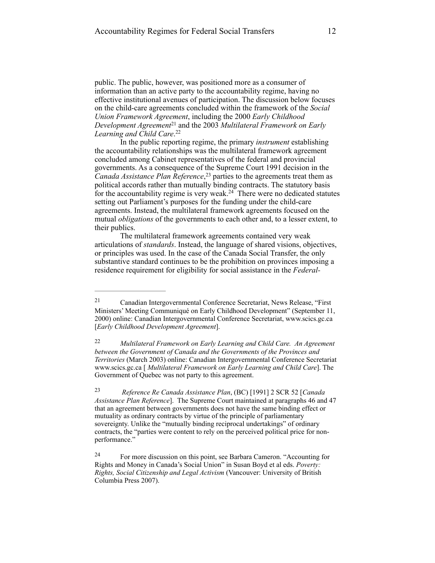public. The public, however, was positioned more as a consumer of information than an active party to the accountability regime, having no effective institutional avenues of participation. The discussion below focuses on the child-care agreements concluded within the framework of the *Social Union Framework Agreement*, including the 2000 *Early Childhood Development Agreement<sup>21</sup>* and the 2003 *Multilateral Framework on Early Learning and Child Care*. 22

In the public reporting regime, the primary *instrument* establishing the accountability relationships was the multilateral framework agreement concluded among Cabinet representatives of the federal and provincial governments. As a consequence of the Supreme Court 1991 decision in the *Canada Assistance Plan Reference*<sup>23</sup> parties to the agreements treat them as political accords rather than mutually binding contracts. The statutory basis for the accountability regime is very weak.<sup>24</sup> There were no dedicated statutes setting out Parliament's purposes for the funding under the child-care agreements. Instead, the multilateral framework agreements focused on the mutual *obligations* of the governments to each other and, to a lesser extent, to their publics.

The multilateral framework agreements contained very weak articulations of *standards*. Instead, the language of shared visions, objectives, or principles was used. In the case of the Canada Social Transfer, the only substantive standard continues to be the prohibition on provinces imposing a residence requirement for eligibility for social assistance in the *Federal-*

Canadian Intergovernmental Conference Secretariat, News Release, "First 21 Ministers' Meeting Communiqué on Early Childhood Development" (September 11, 2000) online: Canadian Intergovernmental Conference Secretariat, www.scics.gc.ca [*Early Childhood Development Agreement*].

*Multilateral Framework on Early Learning and Child Care. An Agreement* <sup>22</sup> *between the Government of Canada and the Governments of the Provinces and Territories* (March 2003) online: Canadian Intergovernmental Conference Secretariat www.scics.gc.ca [ *Multilateral Framework on Early Learning and Child Care*]. The Government of Quebec was not party to this agreement.

*Reference Re Canada Assistance Plan*, (BC) [1991] 2 SCR 52 [*Canada* <sup>23</sup> *Assistance Plan Reference*]. The Supreme Court maintained at paragraphs 46 and 47 that an agreement between governments does not have the same binding effect or mutuality as ordinary contracts by virtue of the principle of parliamentary sovereignty. Unlike the "mutually binding reciprocal undertakings" of ordinary contracts, the "parties were content to rely on the perceived political price for nonperformance."

For more discussion on this point, see Barbara Cameron. "Accounting for 24 Rights and Money in Canada's Social Union" in Susan Boyd et al eds. *Poverty: Rights, Social Citizenship and Legal Activism* (Vancouver: University of British Columbia Press 2007).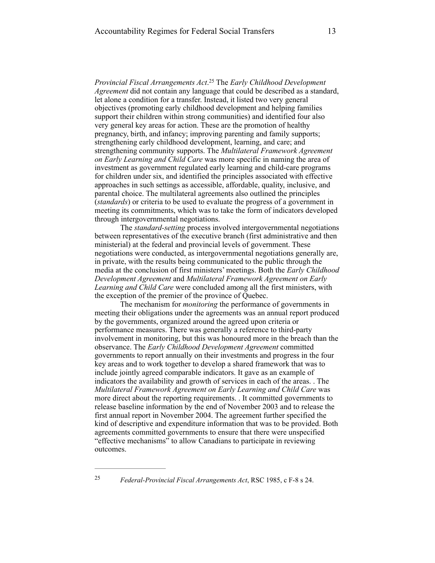*Provincial Fiscal Arrangements Act.<sup>25</sup> The Early Childhood Development Agreement* did not contain any language that could be described as a standard, let alone a condition for a transfer. Instead, it listed two very general objectives (promoting early childhood development and helping families support their children within strong communities) and identified four also very general key areas for action. These are the promotion of healthy pregnancy, birth, and infancy; improving parenting and family supports; strengthening early childhood development, learning, and care; and strengthening community supports. The *Multilateral Framework Agreement on Early Learning and Child Care* was more specific in naming the area of investment as government regulated early learning and child-care programs for children under six, and identified the principles associated with effective approaches in such settings as accessible, affordable, quality, inclusive, and parental choice. The multilateral agreements also outlined the principles (*standards*) or criteria to be used to evaluate the progress of a government in meeting its commitments, which was to take the form of indicators developed through intergovernmental negotiations.

The *standard-setting* process involved intergovernmental negotiations between representatives of the executive branch (first administrative and then ministerial) at the federal and provincial levels of government. These negotiations were conducted, as intergovernmental negotiations generally are, in private, with the results being communicated to the public through the media at the conclusion of first ministers' meetings. Both the *Early Childhood Development Agreement* and *Multilateral Framework Agreement on Early Learning and Child Care* were concluded among all the first ministers, with the exception of the premier of the province of Quebec.

The mechanism for *monitoring* the performance of governments in meeting their obligations under the agreements was an annual report produced by the governments, organized around the agreed upon criteria or performance measures. There was generally a reference to third-party involvement in monitoring, but this was honoured more in the breach than the observance. The *Early Childhood Development Agreement* committed governments to report annually on their investments and progress in the four key areas and to work together to develop a shared framework that was to include jointly agreed comparable indicators. It gave as an example of indicators the availability and growth of services in each of the areas. . The *Multilateral Framework Agreement on Early Learning and Child Care* was more direct about the reporting requirements. . It committed governments to release baseline information by the end of November 2003 and to release the first annual report in November 2004. The agreement further specified the kind of descriptive and expenditure information that was to be provided. Both agreements committed governments to ensure that there were unspecified "effective mechanisms" to allow Canadians to participate in reviewing outcomes.

*Federal-Provincial Fiscal Arrangements Act*, RSC 1985, c F-8 s 24. <sup>25</sup>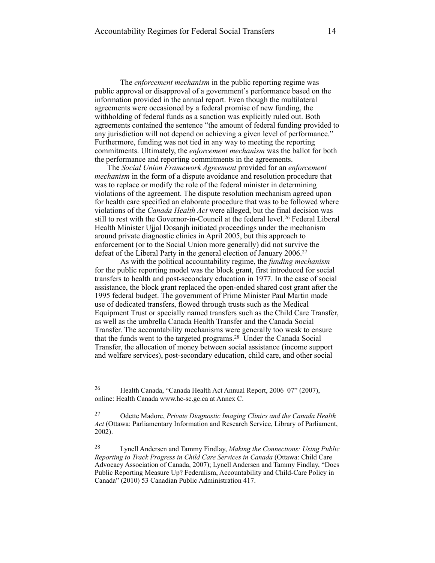The *enforcement mechanism* in the public reporting regime was public approval or disapproval of a government's performance based on the information provided in the annual report. Even though the multilateral agreements were occasioned by a federal promise of new funding, the withholding of federal funds as a sanction was explicitly ruled out. Both agreements contained the sentence "the amount of federal funding provided to any jurisdiction will not depend on achieving a given level of performance." Furthermore, funding was not tied in any way to meeting the reporting commitments. Ultimately, the *enforcement mechanism* was the ballot for both the performance and reporting commitments in the agreements.

The *Social Union Framework Agreement* provided for an *enforcement mechanism* in the form of a dispute avoidance and resolution procedure that was to replace or modify the role of the federal minister in determining violations of the agreement. The dispute resolution mechanism agreed upon for health care specified an elaborate procedure that was to be followed where violations of the *Canada Health Act* were alleged, but the final decision was still to rest with the Governor-in-Council at the federal level.<sup>26</sup> Federal Liberal Health Minister Ujjal Dosanjh initiated proceedings under the mechanism around private diagnostic clinics in April 2005, but this approach to enforcement (or to the Social Union more generally) did not survive the defeat of the Liberal Party in the general election of January 2006.<sup>27</sup>

As with the political accountability regime, the *funding mechanism* for the public reporting model was the block grant, first introduced for social transfers to health and post-secondary education in 1977. In the case of social assistance, the block grant replaced the open-ended shared cost grant after the 1995 federal budget. The government of Prime Minister Paul Martin made use of dedicated transfers, flowed through trusts such as the Medical Equipment Trust or specially named transfers such as the Child Care Transfer, as well as the umbrella Canada Health Transfer and the Canada Social Transfer. The accountability mechanisms were generally too weak to ensure that the funds went to the targeted programs.<sup>28</sup> Under the Canada Social Transfer, the allocation of money between social assistance (income support and welfare services), post-secondary education, child care, and other social

<sup>&</sup>lt;sup>26</sup> Health Canada, "Canada Health Act Annual Report, 2006–07" (2007), online: Health Canada www.hc-sc.gc.ca at Annex C.

Odette Madore, *Private Diagnostic Imaging Clinics and the Canada Health* <sup>27</sup> *Act* (Ottawa: Parliamentary Information and Research Service, Library of Parliament, 2002).

Lynell Andersen and Tammy Findlay, *Making the Connections: Using Public* <sup>28</sup> *Reporting to Track Progress in Child Care Services in Canada* (Ottawa: Child Care Advocacy Association of Canada, 2007); Lynell Andersen and Tammy Findlay, "Does Public Reporting Measure Up? Federalism, Accountability and Child-Care Policy in Canada" (2010) 53 Canadian Public Administration 417.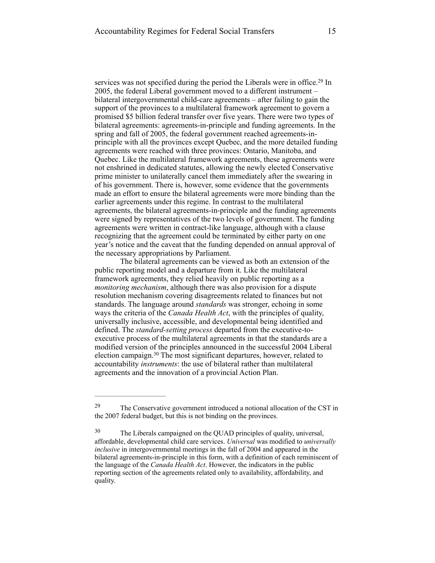services was not specified during the period the Liberals were in office.<sup>29</sup> In 2005, the federal Liberal government moved to a different instrument – bilateral intergovernmental child-care agreements – after failing to gain the support of the provinces to a multilateral framework agreement to govern a promised \$5 billion federal transfer over five years. There were two types of bilateral agreements: agreements-in-principle and funding agreements. In the spring and fall of 2005, the federal government reached agreements-inprinciple with all the provinces except Quebec, and the more detailed funding agreements were reached with three provinces: Ontario, Manitoba, and Quebec. Like the multilateral framework agreements, these agreements were not enshrined in dedicated statutes, allowing the newly elected Conservative prime minister to unilaterally cancel them immediately after the swearing in of his government. There is, however, some evidence that the governments made an effort to ensure the bilateral agreements were more binding than the earlier agreements under this regime. In contrast to the multilateral agreements, the bilateral agreements-in-principle and the funding agreements were signed by representatives of the two levels of government. The funding agreements were written in contract-like language, although with a clause recognizing that the agreement could be terminated by either party on one year's notice and the caveat that the funding depended on annual approval of the necessary appropriations by Parliament.

The bilateral agreements can be viewed as both an extension of the public reporting model and a departure from it. Like the multilateral framework agreements, they relied heavily on public reporting as a *monitoring mechanism*, although there was also provision for a dispute resolution mechanism covering disagreements related to finances but not standards. The language around *standards* was stronger, echoing in some ways the criteria of the *Canada Health Act*, with the principles of quality, universally inclusive, accessible, and developmental being identified and defined. The *standard-setting process* departed from the executive-toexecutive process of the multilateral agreements in that the standards are a modified version of the principles announced in the successful 2004 Liberal election campaign.<sup>30</sup> The most significant departures, however, related to accountability *instruments*: the use of bilateral rather than multilateral agreements and the innovation of a provincial Action Plan.

 $29$  The Conservative government introduced a notional allocation of the CST in the 2007 federal budget, but this is not binding on the provinces.

The Liberals campaigned on the QUAD principles of quality, universal, 30 affordable, developmental child care services. *Universal* was modified to *universally inclusive* in intergovernmental meetings in the fall of 2004 and appeared in the bilateral agreements-in-principle in this form, with a definition of each reminiscent of the language of the *Canada Health Act*. However, the indicators in the public reporting section of the agreements related only to availability, affordability, and quality.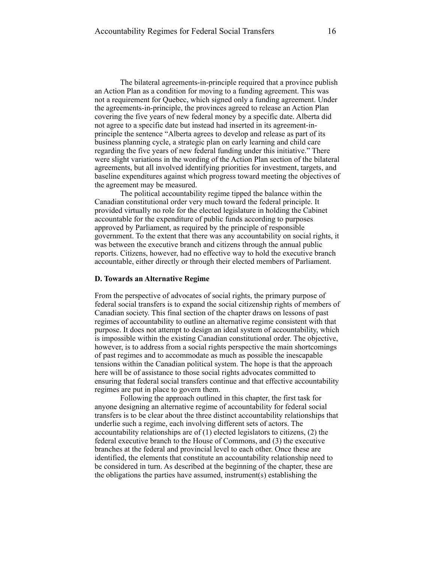The bilateral agreements-in-principle required that a province publish an Action Plan as a condition for moving to a funding agreement. This was not a requirement for Quebec, which signed only a funding agreement. Under the agreements-in-principle, the provinces agreed to release an Action Plan covering the five years of new federal money by a specific date. Alberta did not agree to a specific date but instead had inserted in its agreement-inprinciple the sentence "Alberta agrees to develop and release as part of its business planning cycle, a strategic plan on early learning and child care regarding the five years of new federal funding under this initiative." There were slight variations in the wording of the Action Plan section of the bilateral agreements, but all involved identifying priorities for investment, targets, and baseline expenditures against which progress toward meeting the objectives of the agreement may be measured.

The political accountability regime tipped the balance within the Canadian constitutional order very much toward the federal principle. It provided virtually no role for the elected legislature in holding the Cabinet accountable for the expenditure of public funds according to purposes approved by Parliament, as required by the principle of responsible government. To the extent that there was any accountability on social rights, it was between the executive branch and citizens through the annual public reports. Citizens, however, had no effective way to hold the executive branch accountable, either directly or through their elected members of Parliament.

#### **D. Towards an Alternative Regime**

From the perspective of advocates of social rights, the primary purpose of federal social transfers is to expand the social citizenship rights of members of Canadian society. This final section of the chapter draws on lessons of past regimes of accountability to outline an alternative regime consistent with that purpose. It does not attempt to design an ideal system of accountability, which is impossible within the existing Canadian constitutional order. The objective, however, is to address from a social rights perspective the main shortcomings of past regimes and to accommodate as much as possible the inescapable tensions within the Canadian political system. The hope is that the approach here will be of assistance to those social rights advocates committed to ensuring that federal social transfers continue and that effective accountability regimes are put in place to govern them.

Following the approach outlined in this chapter, the first task for anyone designing an alternative regime of accountability for federal social transfers is to be clear about the three distinct accountability relationships that underlie such a regime, each involving different sets of actors. The accountability relationships are of (1) elected legislators to citizens, (2) the federal executive branch to the House of Commons, and (3) the executive branches at the federal and provincial level to each other. Once these are identified, the elements that constitute an accountability relationship need to be considered in turn. As described at the beginning of the chapter, these are the obligations the parties have assumed, instrument(s) establishing the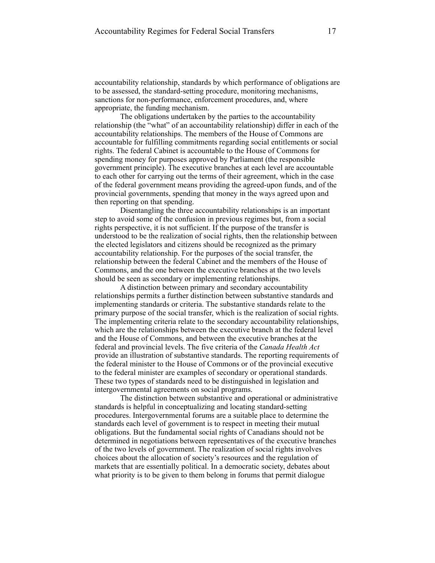accountability relationship, standards by which performance of obligations are to be assessed, the standard-setting procedure, monitoring mechanisms, sanctions for non-performance, enforcement procedures, and, where appropriate, the funding mechanism.

The obligations undertaken by the parties to the accountability relationship (the "what" of an accountability relationship) differ in each of the accountability relationships. The members of the House of Commons are accountable for fulfilling commitments regarding social entitlements or social rights. The federal Cabinet is accountable to the House of Commons for spending money for purposes approved by Parliament (the responsible government principle). The executive branches at each level are accountable to each other for carrying out the terms of their agreement, which in the case of the federal government means providing the agreed-upon funds, and of the provincial governments, spending that money in the ways agreed upon and then reporting on that spending.

Disentangling the three accountability relationships is an important step to avoid some of the confusion in previous regimes but, from a social rights perspective, it is not sufficient. If the purpose of the transfer is understood to be the realization of social rights, then the relationship between the elected legislators and citizens should be recognized as the primary accountability relationship. For the purposes of the social transfer, the relationship between the federal Cabinet and the members of the House of Commons, and the one between the executive branches at the two levels should be seen as secondary or implementing relationships.

A distinction between primary and secondary accountability relationships permits a further distinction between substantive standards and implementing standards or criteria. The substantive standards relate to the primary purpose of the social transfer, which is the realization of social rights. The implementing criteria relate to the secondary accountability relationships, which are the relationships between the executive branch at the federal level and the House of Commons, and between the executive branches at the federal and provincial levels. The five criteria of the *Canada Health Act* provide an illustration of substantive standards. The reporting requirements of the federal minister to the House of Commons or of the provincial executive to the federal minister are examples of secondary or operational standards. These two types of standards need to be distinguished in legislation and intergovernmental agreements on social programs.

The distinction between substantive and operational or administrative standards is helpful in conceptualizing and locating standard-setting procedures. Intergovernmental forums are a suitable place to determine the standards each level of government is to respect in meeting their mutual obligations. But the fundamental social rights of Canadians should not be determined in negotiations between representatives of the executive branches of the two levels of government. The realization of social rights involves choices about the allocation of society's resources and the regulation of markets that are essentially political. In a democratic society, debates about what priority is to be given to them belong in forums that permit dialogue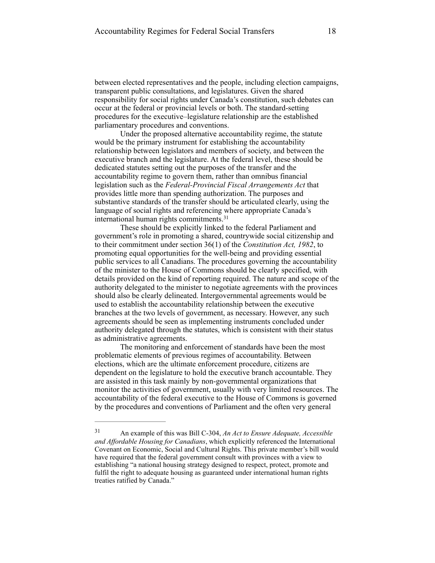between elected representatives and the people, including election campaigns, transparent public consultations, and legislatures. Given the shared responsibility for social rights under Canada's constitution, such debates can occur at the federal or provincial levels or both. The standard-setting procedures for the executive–legislature relationship are the established parliamentary procedures and conventions.

Under the proposed alternative accountability regime, the statute would be the primary instrument for establishing the accountability relationship between legislators and members of society, and between the executive branch and the legislature. At the federal level, these should be dedicated statutes setting out the purposes of the transfer and the accountability regime to govern them, rather than omnibus financial legislation such as the *Federal-Provincial Fiscal Arrangements Act* that provides little more than spending authorization. The purposes and substantive standards of the transfer should be articulated clearly, using the language of social rights and referencing where appropriate Canada's international human rights commitments.<sup>31</sup>

These should be explicitly linked to the federal Parliament and government's role in promoting a shared, countrywide social citizenship and to their commitment under section 36(1) of the *Constitution Act, 1982*, to promoting equal opportunities for the well-being and providing essential public services to all Canadians. The procedures governing the accountability of the minister to the House of Commons should be clearly specified, with details provided on the kind of reporting required. The nature and scope of the authority delegated to the minister to negotiate agreements with the provinces should also be clearly delineated. Intergovernmental agreements would be used to establish the accountability relationship between the executive branches at the two levels of government, as necessary. However, any such agreements should be seen as implementing instruments concluded under authority delegated through the statutes, which is consistent with their status as administrative agreements.

The monitoring and enforcement of standards have been the most problematic elements of previous regimes of accountability. Between elections, which are the ultimate enforcement procedure, citizens are dependent on the legislature to hold the executive branch accountable. They are assisted in this task mainly by non-governmental organizations that monitor the activities of government, usually with very limited resources. The accountability of the federal executive to the House of Commons is governed by the procedures and conventions of Parliament and the often very general

An example of this was Bill C-304, *An Act to Ensure Adequate, Accessible* <sup>31</sup> *and Affordable Housing for Canadians*, which explicitly referenced the International Covenant on Economic, Social and Cultural Rights. This private member's bill would have required that the federal government consult with provinces with a view to establishing "a national housing strategy designed to respect, protect, promote and fulfil the right to adequate housing as guaranteed under international human rights treaties ratified by Canada."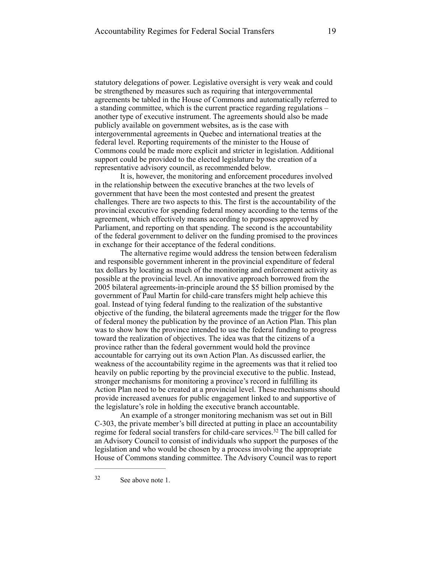statutory delegations of power. Legislative oversight is very weak and could be strengthened by measures such as requiring that intergovernmental agreements be tabled in the House of Commons and automatically referred to a standing committee, which is the current practice regarding regulations – another type of executive instrument. The agreements should also be made publicly available on government websites, as is the case with intergovernmental agreements in Quebec and international treaties at the federal level. Reporting requirements of the minister to the House of Commons could be made more explicit and stricter in legislation. Additional support could be provided to the elected legislature by the creation of a representative advisory council, as recommended below.

It is, however, the monitoring and enforcement procedures involved in the relationship between the executive branches at the two levels of government that have been the most contested and present the greatest challenges. There are two aspects to this. The first is the accountability of the provincial executive for spending federal money according to the terms of the agreement, which effectively means according to purposes approved by Parliament, and reporting on that spending. The second is the accountability of the federal government to deliver on the funding promised to the provinces in exchange for their acceptance of the federal conditions.

The alternative regime would address the tension between federalism and responsible government inherent in the provincial expenditure of federal tax dollars by locating as much of the monitoring and enforcement activity as possible at the provincial level. An innovative approach borrowed from the 2005 bilateral agreements-in-principle around the \$5 billion promised by the government of Paul Martin for child-care transfers might help achieve this goal. Instead of tying federal funding to the realization of the substantive objective of the funding, the bilateral agreements made the trigger for the flow of federal money the publication by the province of an Action Plan. This plan was to show how the province intended to use the federal funding to progress toward the realization of objectives. The idea was that the citizens of a province rather than the federal government would hold the province accountable for carrying out its own Action Plan. As discussed earlier, the weakness of the accountability regime in the agreements was that it relied too heavily on public reporting by the provincial executive to the public. Instead, stronger mechanisms for monitoring a province's record in fulfilling its Action Plan need to be created at a provincial level. These mechanisms should provide increased avenues for public engagement linked to and supportive of the legislature's role in holding the executive branch accountable.

An example of a stronger monitoring mechanism was set out in Bill C-303, the private member's bill directed at putting in place an accountability regime for federal social transfers for child-care services.<sup>32</sup> The bill called for an Advisory Council to consist of individuals who support the purposes of the legislation and who would be chosen by a process involving the appropriate House of Commons standing committee. The Advisory Council was to report

See above note 1. <sup>32</sup>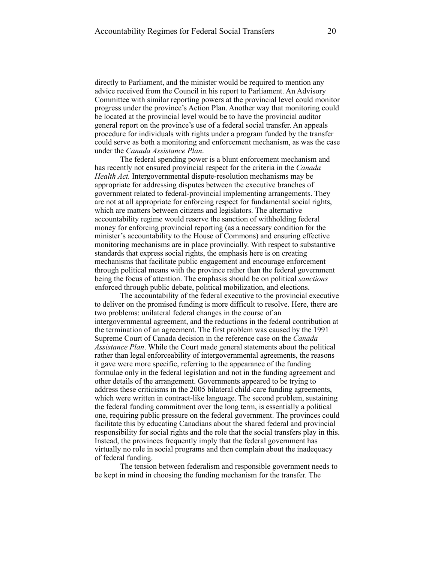directly to Parliament, and the minister would be required to mention any advice received from the Council in his report to Parliament. An Advisory Committee with similar reporting powers at the provincial level could monitor progress under the province's Action Plan. Another way that monitoring could be located at the provincial level would be to have the provincial auditor general report on the province's use of a federal social transfer. An appeals procedure for individuals with rights under a program funded by the transfer could serve as both a monitoring and enforcement mechanism, as was the case under the *Canada Assistance Plan*.

The federal spending power is a blunt enforcement mechanism and has recently not ensured provincial respect for the criteria in the *Canada Health Act.* Intergovernmental dispute-resolution mechanisms may be appropriate for addressing disputes between the executive branches of government related to federal-provincial implementing arrangements. They are not at all appropriate for enforcing respect for fundamental social rights, which are matters between citizens and legislators. The alternative accountability regime would reserve the sanction of withholding federal money for enforcing provincial reporting (as a necessary condition for the minister's accountability to the House of Commons) and ensuring effective monitoring mechanisms are in place provincially. With respect to substantive standards that express social rights, the emphasis here is on creating mechanisms that facilitate public engagement and encourage enforcement through political means with the province rather than the federal government being the focus of attention. The emphasis should be on political *sanctions* enforced through public debate, political mobilization, and elections.

The accountability of the federal executive to the provincial executive to deliver on the promised funding is more difficult to resolve. Here, there are two problems: unilateral federal changes in the course of an intergovernmental agreement, and the reductions in the federal contribution at the termination of an agreement. The first problem was caused by the 1991 Supreme Court of Canada decision in the reference case on the *Canada Assistance Plan*. While the Court made general statements about the political rather than legal enforceability of intergovernmental agreements, the reasons it gave were more specific, referring to the appearance of the funding formulae only in the federal legislation and not in the funding agreement and other details of the arrangement. Governments appeared to be trying to address these criticisms in the 2005 bilateral child-care funding agreements, which were written in contract-like language. The second problem, sustaining the federal funding commitment over the long term, is essentially a political one, requiring public pressure on the federal government. The provinces could facilitate this by educating Canadians about the shared federal and provincial responsibility for social rights and the role that the social transfers play in this. Instead, the provinces frequently imply that the federal government has virtually no role in social programs and then complain about the inadequacy of federal funding.

The tension between federalism and responsible government needs to be kept in mind in choosing the funding mechanism for the transfer. The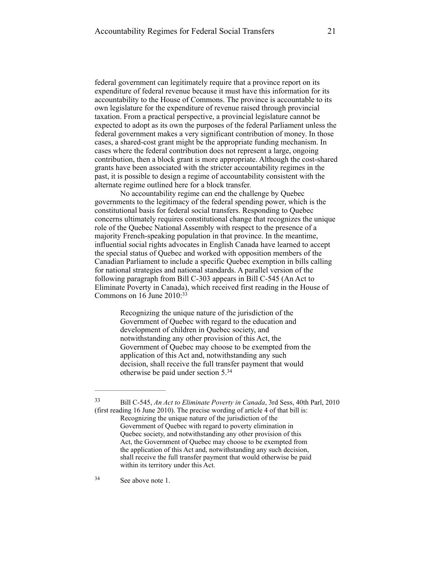federal government can legitimately require that a province report on its expenditure of federal revenue because it must have this information for its accountability to the House of Commons. The province is accountable to its own legislature for the expenditure of revenue raised through provincial taxation. From a practical perspective, a provincial legislature cannot be expected to adopt as its own the purposes of the federal Parliament unless the federal government makes a very significant contribution of money. In those cases, a shared-cost grant might be the appropriate funding mechanism. In cases where the federal contribution does not represent a large, ongoing contribution, then a block grant is more appropriate. Although the cost-shared grants have been associated with the stricter accountability regimes in the past, it is possible to design a regime of accountability consistent with the alternate regime outlined here for a block transfer.

No accountability regime can end the challenge by Quebec governments to the legitimacy of the federal spending power, which is the constitutional basis for federal social transfers. Responding to Quebec concerns ultimately requires constitutional change that recognizes the unique role of the Quebec National Assembly with respect to the presence of a majority French-speaking population in that province. In the meantime, influential social rights advocates in English Canada have learned to accept the special status of Quebec and worked with opposition members of the Canadian Parliament to include a specific Quebec exemption in bills calling for national strategies and national standards. A parallel version of the following paragraph from Bill C-303 appears in Bill C-545 (An Act to Eliminate Poverty in Canada), which received first reading in the House of Commons on  $16$  June  $2010$ :  $33$ 

> Recognizing the unique nature of the jurisdiction of the Government of Quebec with regard to the education and development of children in Quebec society, and notwithstanding any other provision of this Act, the Government of Quebec may choose to be exempted from the application of this Act and, notwithstanding any such decision, shall receive the full transfer payment that would otherwise be paid under section 5.34

See above note 1. <sup>34</sup>

Bill C-545, *An Act to Eliminate Poverty in Canada*, 3rd Sess, 40th Parl, 2010 33 (first reading 16 June 2010). The precise wording of article 4 of that bill is: Recognizing the unique nature of the jurisdiction of the Government of Quebec with regard to poverty elimination in Quebec society, and notwithstanding any other provision of this Act, the Government of Quebec may choose to be exempted from the application of this Act and, notwithstanding any such decision, shall receive the full transfer payment that would otherwise be paid within its territory under this Act.